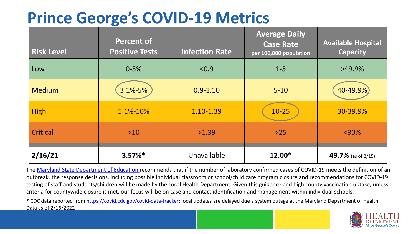## **Prince George's COVID-19 Metrics**

| <b>Risk Level</b> | <b>Percent of</b><br><b>Positive Tests</b> | <b>Infection Rate</b> | <b>Average Daily</b><br><b>Case Rate</b><br>per 100,000 population | <b>Available Hospital</b><br><b>Capacity</b> |
|-------------------|--------------------------------------------|-----------------------|--------------------------------------------------------------------|----------------------------------------------|
| Low               | $0 - 3%$                                   | < 0.9                 | $1 - 5$                                                            | $>49.9\%$                                    |
| <b>Medium</b>     | 3.1%-5%                                    | $0.9 - 1.10$          | $5 - 10$                                                           | 40-49.9%                                     |
| <b>High</b>       | 5.1%-10%                                   | 1.10-1.39             | $10-25$                                                            | 30-39.9%                                     |
| Critical          | $>10$                                      | >1.39                 | $>25$                                                              | $<$ 30%                                      |
| 2/16/21           | $3.57\%*$                                  | Unavailable           | 12.00*                                                             | 49.7% (as of $2/15$ )                        |

The [Maryland State Department of Education](https://earlychildhood.marylandpublicschools.org/system/files/filedepot/3/covid_guidance_full_080420.pdf) recommends that if the number of laboratory confirmed cases of COVID-19 meets the definition of an outbreak, the response decisions, including possible individual classroom or school/child care program closure and recommendations for COVID-19 testing of staff and students/children will be made by the Local Health Department. Given this guidance and high county vaccination uptake, unless criteria for countywide closure is met, our focus will be on case and contact identification and management within individual schools.

\* CDC data reported from <https://covid.cdc.gov/covid-data-tracker>; local updates are delayed due a system outage at the Maryland Department of Health. Data as of 2/16/2022

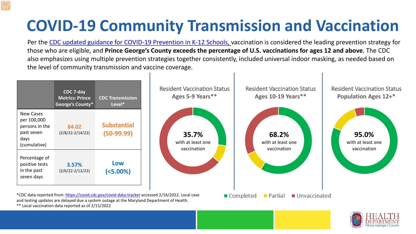## **COVID-19 Community Transmission and Vaccination**

Per the [CDC updated guidance for COVID-19 Prevention in K-12 Schools,](https://www.cdc.gov/coronavirus/2019-ncov/community/schools-childcare/k-12-guidance.html) vaccination is considered the leading prevention strategy for those who are eligible, and **Prince George's County exceeds the percentage of U.S. vaccinations for ages 12 and above**. The CDC also emphasizes using multiple prevention strategies together consistently, included universal indoor masking, as needed based on the level of community transmission and vaccine coverage.





\*\* Local vaccination data reported as of 2/15/2022